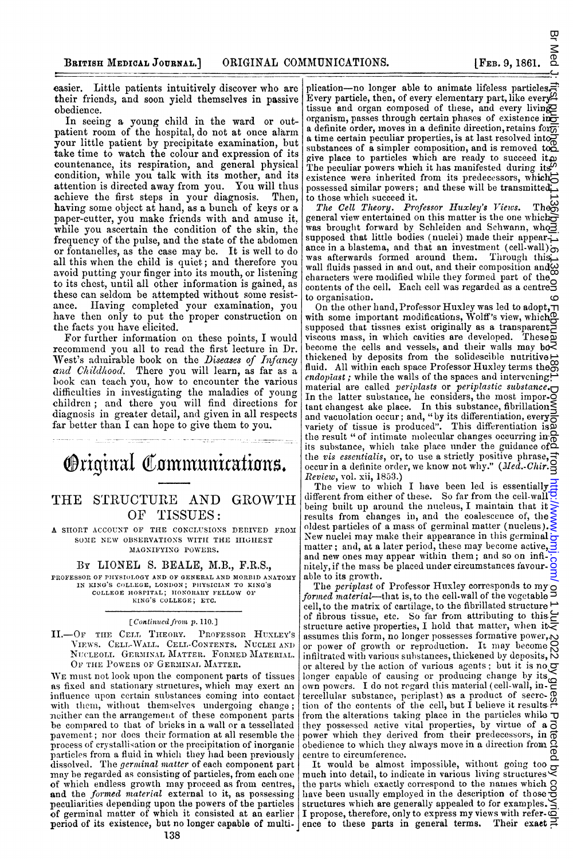easier. Little patients intuitively discover who are their friends, and soon yield themselves in passive obedience.

In seeing a young child in the ward or outpatient room of the hospital, do not at once alarm your little patient by precipitate examination, but take time to watch the colour and expression of its countenance, its respiration, and general physical condition, while you talk with its mother, and its attention is directed away from you. You will thus achieve the first steps in your diagnosis. Then, having some object at hand, as a bunch of keys or a paper-cutter, you make friends with and amuse it. while you ascertain the condition of the skin, the frequency of the pulse, and the state of the abdomen or fontanelles, as the case may be. It is well to do all this when the child is quiet; and therefore you avoid putting your finger into its mouth, or listening to its chest, until all other information is gained, as these can seldom be attempted without some resistance. Having completed your examination, you have then only to put the proper construction on the facts you have elicited.

For further information on these points, I would recommend you all to read the first lecture in Dr. West's admirable book on the Diseases of Infancy and Childhood. There you will learn, as far as a book can teach you, how to encounter the various difficulties in investigating the maladies of young children ; and there you will find directions for diagnosis in greater detail, and given in all respects far better than <sup>I</sup> can hope to give them to you.

**Original Communications.** 

# THE STRUCTURE AND GROWTH OF TISSUES:

A SHORT ACCOUNT OF THE CONCLUSIONS DERIVED FROM SOME NEW OBSERVATIONS WITH THE HIGHEST MAGNIFYING POWERS.

### BY LIONEL S. BEALE, M.B., F.R.S.,

PROFESSOR OF PHYSIOLOGY AND OF GENERAL AND MORBID ANATOMY IN KING'S COLLEGE, LONDON; PHYSICIAN TO KING'S COLLEGE HOSPITAL; HONORARY FELLOW OF KING'S COLLEGE; ETC.

#### [Continued from p. 110.]

II.-OF THE CELL THEORY. PROFESSOR HUXLEY'S VIEWS. CELL-WALL. CELL-CONTENTS. NUCLEI AND NUCLEOLI. GERMINAL MATTER. FORMED MATERIAL. OF THE POWERS OF GERMINAL MATTER.

WE must not look upon the component parts of tissues as fixed and stationary structures, which may exert an influence upon certain substances coming into contact with them, without themselves undergoing change; meither can the arrangement of these component parts be conmpared to that of bricks in a wall or a tessellated pavement; nor does their formation at nll resemble the process of crystallisation or the precipitation of inorganic particles from a fluid in which they had been previously dissolved. The germinal matter of each component part may be regarded as consisting of particles, from each one of which endless growth may proceed as from centres, and the formed material external to it, as possessing peculiarities depending upon the powers of the particles of germinal matter of which it consisted at an earlier period of its existence, but no longer capable of multi-

plication-no longer able to animate lifeless particles. Every particle, then, of every elementary part, like every<sup>93</sup> tissue and organ composed of these, and every living organism, passes through certain phases of existence in a definite order, moves in a definite direction, retains for  $\overline{\overline{\omega}}$ a time certain peculiar properties, is at last resolved into substances of a simpler composition, and is removed to  $\mathbb{Z}$ give place to particles which are ready to succeed it.<br>The peculiar powers which it has manifested during its existence were inherited from its predecessors, which $\overrightarrow{C}$ possessed similar powers; and these will be transmitted to those whiclh succeed it.

The Cell Theory. Professor Huxley's Views. Theon general view entertained on this matter is the one which  $\overline{\sigma}$ was brought forward by Schleiden and Schwann, who $\bar{3}$ supposed that little bodies (nuclei) made their appearance in a blastema, and that an investment (cell-wall) $\infty$  was afterwards formed around them. Through this was afterwards formed around them. wall fluids passed in and out, and their composition and  $\omega$ characters were modified while they formed part of the contents were modified while they formed part of the order to organisation.

On the other hand, Professor Huxley was led to adopt,  $\neg$ with some important modifications, Wolff's view, which? supposed that tissues exist originally as a transparent viscous mass, in wlicih cavities are developed. These become the cells and vessels, and their walls may bo $\overline{\mathbb{R}}$ thickened by deposits from the solidescible nutritive fluid. All within each space Professor Huxley terms the endopiast; while the walls of the spaces and intervening. material are called periplasts or periplastic substance. In the latter substance, he considers, the most impor- $\breve{\mathcal{Q}}$ tant changest ake place. In this substance, fibrillation and vacuolation occur; and, "by its differentiation, every  $\bar{\bar{\epsilon}}$ <br>variety of tissue is produced". This differentiation is the result " of intimate molecular changes occurring in  $\frac{\Omega}{\Omega}$ its substance, which take place under the guidance of  $\tilde{\Delta}$ the *vis essentialis*, or, to use a strictly positive phrase, =<br>occur in a definite order, we know not why." (*Med.-Chir.*-Review, vol. xii, 1853.) on Med 1: Inst Righered as 19.1136/pm, 1.6.138 on 9 February 1861. Pownloaded from Amix. bmj.com/ and 1 July 2022 by guest. Protected by copyright.

The view to which I have been led is essentially different from either of these. So far from the cell-wall  $\overline{Q}$ being built up around the nucleus,  $I$  maintain that it results from changes in, and the coalescence of, the oldest particles of a mass of germinal matter (nucleus).. New nuclei may make their appearance in this germinal matter; and, at a later period, these may become active,  $\overline{\mathbf{3}}$ and new ones may appear within them; and so on infinitely, if the mass be placed under circumstances favourable to its growth.

The *periplast* of Professor Huxley corresponds to my *formed material*—that is, to the cell-wall of the vegetable cell, to the matrix of cartilage, to the fibrillated structure of fibrous tissue, etc. So far from attributing to this. structure active properties, I hold that matter, when it $\bar{\Xi}$ assumes this form, no longer possesses formative power,... or power of growth or reproduction. It may become infiltrated with various substances, thickened by deposits, N or altered by the action of various agents; but it is no longer capable of causing or producing change by its own powers. I do not regard this material (cell-wall, in. tercellular substance, periplast) as a product of secretion of the contents of the cell, but I believe it results, from the alterations taking place in the particles while  $\mathbf{\tau}$ they possessed active vital properties, by virtue of  $\mathbf{a} \, \vec{\Theta}$ power which they derived from their predecessors, in  $\bar{\phi}$ obedience to which they always move in a direction from  $\tilde{q}$ centre to circumference.

It would be almost impossible, without going too much into detail, to inidicate in various living structures the parts which exactly correspond to the names which  $\beta$ have been usually employed in the description of those structures which are generally appealed to for examples.  $\leq$ I propose, therefore, only to express my views with refer- $\bar{c}$ ence to these parts in general terms. Their exact  $\Xi$